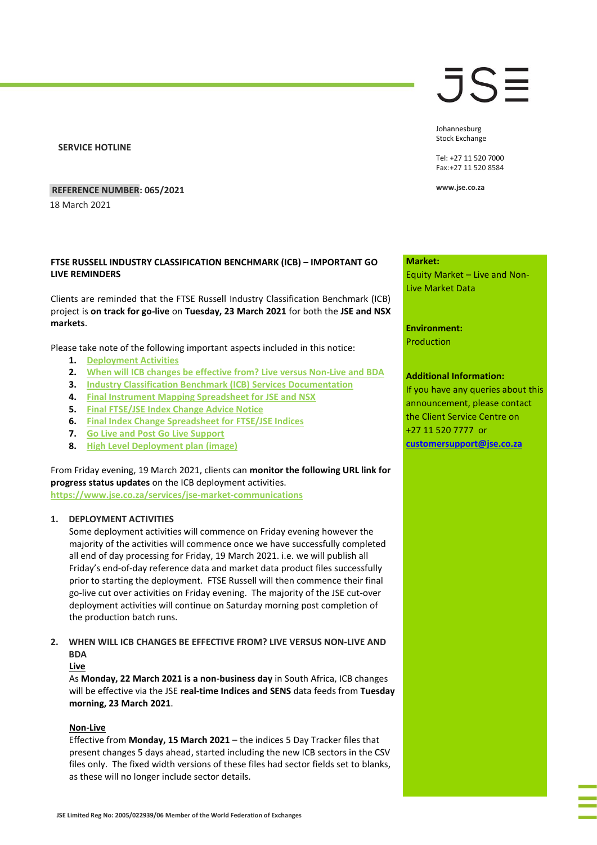**SERVICE HOTLINE**

## **REFERENCE NUMBER: 065/2021**

18 March 2021

# **FTSE RUSSELL INDUSTRY CLASSIFICATION BENCHMARK (ICB) – IMPORTANT GO LIVE REMINDERS**

Clients are reminded that the FTSE Russell Industry Classification Benchmark (ICB) project is **on track for go-live** on **Tuesday, 23 March 2021** for both the **JSE and NSX markets**.

Please take note of the following important aspects included in this notice:

- **1. [Deployment Activities](#page-0-0)**
- **2. [When will ICB changes be effective from? Live](#page-0-1) versus Non-Live and BDA**
- **3. [Industry Classification Benchmark \(ICB\) Services Documentation](#page-1-0)**
- **4. [Final Instrument Mapping Spreadsheet for JSE and NSX](#page-1-1)**
- **5. [Final FTSE/JSE Index Change Advice Notice](#page-1-2)**
- **6. [Final Index Change Spreadsheet for FTSE/JSE Indices](#page-1-3)**
- **7. [Go Live and Post Go Live Support](#page-1-4)**
- **8. [High Level Deployment plan \(image\)](#page-1-5)**

From Friday evening, 19 March 2021, clients can **monitor the following URL link for progress status updates** on the ICB deployment activities. **<https://www.jse.co.za/services/jse-market-communications>**

#### <span id="page-0-0"></span>**1. DEPLOYMENT ACTIVITIES**

 Some deployment activities will commence on Friday evening however the majority of the activities will commence once we have successfully completed all end of day processing for Friday, 19 March 2021. i.e. we will publish all Friday's end-of-day reference data and market data product files successfully prior to starting the deployment. FTSE Russell will then commence their final go-live cut over activities on Friday evening. The majority of the JSE cut-over deployment activities will continue on Saturday morning post completion of the production batch runs.

# <span id="page-0-1"></span>**2. WHEN WILL ICB CHANGES BE EFFECTIVE FROM? LIVE VERSUS NON-LIVE AND BDA**

#### **Live**

 As **Monday, 22 March 2021 is a non-business day** in South Africa, ICB changes will be effective via the JSE **real-time Indices and SENS** data feeds from **Tuesday morning, 23 March 2021**.

#### **Non-Live**

 Effective from **Monday, 15 March 2021** – the indices 5 Day Tracker files that present changes 5 days ahead, started including the new ICB sectors in the CSV files only. The fixed width versions of these files had sector fields set to blanks, as these will no longer include sector details.

# **JSE Limited Reg No: 2005/022939/06 Member of the World Federation of Exchanges**

JSE

Johannesburg Stock Exchange

Tel: +27 11 520 7000 Fax:+27 11 520 8584

**www.jse.co.za**

#### **Market:**

Equity Market – Live and Non-Live Market Data

**Environment:** Production

#### **Additional Information:**

If you have any queries about this announcement, please contact the Client Service Centre on +27 11 520 7777 or **[customersupport@jse.co.za](mailto:customersupport@jse.co.za)**